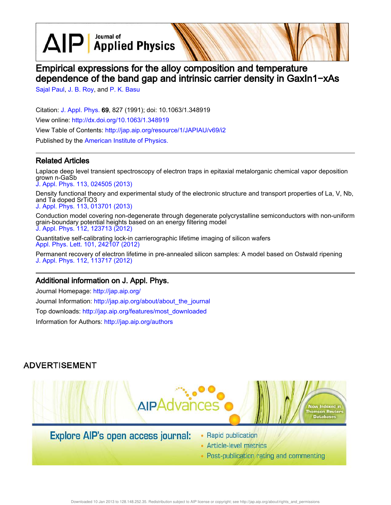$\text{AlP}$  Applied Physics

# Empirical expressions for the alloy composition and temperature dependence of the band gap and intrinsic carrier density in GaxIn1−xAs

Sajal Paul, J. B. Roy, and P. K. Basu

Citation: J. Appl. Phys. 69, 827 (1991); doi: 10.1063/1.348919 View online: http://dx.doi.org/10.1063/1.348919 View Table of Contents: http://jap.aip.org/resource/1/JAPIAU/v69/i2 Published by the American Institute of Physics.

## Related Articles

Laplace deep level transient spectroscopy of electron traps in epitaxial metalorganic chemical vapor deposition grown n-GaSb

J. Appl. Phys. 113, 024505 (2013)

Density functional theory and experimental study of the electronic structure and transport properties of La, V, Nb, and Ta doped SrTiO3

J. Appl. Phys. 113, 013701 (2013)

Conduction model covering non-degenerate through degenerate polycrystalline semiconductors with non-uniform grain-boundary potential heights based on an energy filtering model J. Appl. Phys. 112, 123713 (2012)

Quantitative self-calibrating lock-in carrierographic lifetime imaging of silicon wafers Appl. Phys. Lett. 101, 242107 (2012)

Permanent recovery of electron lifetime in pre-annealed silicon samples: A model based on Ostwald ripening J. Appl. Phys. 112, 113717 (2012)

### Additional information on J. Appl. Phys.

Journal Homepage: http://jap.aip.org/ Journal Information: http://jap.aip.org/about/about\_the\_journal Top downloads: http://jap.aip.org/features/most\_downloaded Information for Authors: http://jap.aip.org/authors

## **ADVERTISEMENT**



## **Explore AIP's open access journal:**

- Rapid publication
- Article-level metrics
- Post-publication rating and commenting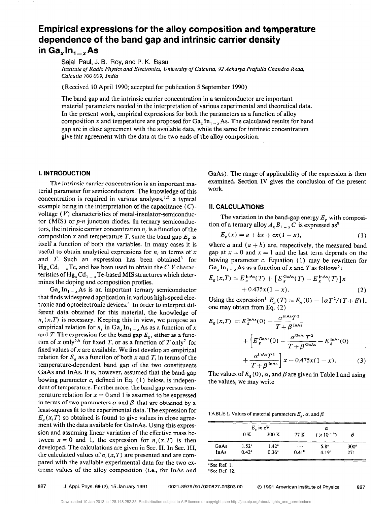## Empirical expressions for the alloy composition and temperature dependence of the band gap and intrinsic carrier density in Ga<sub>x</sub> $ln_{1-x}$ As

Sajal Paul, J. B. Roy, and P. K. Basu

Institute of Radio Physics and Electronics, University of Calcutta, 92 Acharya Prafilla Chandra Road, Calcutta 700 009, India

(Received 10 April 1990; accepted for publication 5 September 1990)

The band gap and the intrinsic carrier concentration in a semiconductor are important material parameters needed in the interpretation of various experimental and theoretical data. In the present work, empirical expressions for both the parameters as a function of alloy composition x and temperature are proposed for  $Ga_xIn_{1-x}As$ . The calculated results for band gap are in close agreement with the available data, while the same for intrinsic concentration give fair agreement with the data at the two ends of the alloy composition.

#### I. INTRODUCTION

The intrinsic carrier concentration is an important material parameter for semiconductors. The knowledge of this concentration is required in various analyses, $1,2$  a typical example being in the interpretation of the capacitance  $(C)$ voltage  $(V)$  characteristics of metal-insulator-semiconductor (MIS) or  $p$ -*n* junction diodes. In ternary semiconductors, the intrinsic carrier concentration  $n_i$  is a function of the composition x and temperature T, since the band gap  $E<sub>e</sub>$  is itself a function of both the variables. In many cases it is useful to obtain analytical expressions for  $n_i$  in terms of x and T. Such an expression has been obtained' for  $Hg_xCd_{1-x}Te$ , and has been used to obtain the C-V characteristics of  $Hg_xCd_{1-x}Te$ -based MIS structures which determines the doping and composition profiles.

 $Ga_x In_{1-x} As$  is an important ternary semiconductor that finds widespread application in various high-speed electronic and optoelectronic devices.<sup>4</sup> In order to interpret different data obtained for this material, the knowledge of  $n<sub>i</sub>(x,T)$  is necessary. Keeping this in view, we propose an empirical relation for  $n_i$  in Ga<sub>x</sub>In<sub>1 - x</sub>As as a function of x and T. The expression for the band gap  $E_e$ , either as a function of x only<sup>5,6</sup> for fixed T, or as a function of T only<sup>7</sup> for fixed values of  $x$  are available. We first develop an empirical relation for  $E<sub>e</sub>$  as a function of both x and T, in terms of the temperature-dependent band gap of the two constituents GaAs and InAs. It is, however, assumed that the band-gap bowing parameter  $c$ , defined in Eq. (1) below, is independent of temperature. Furthermore, the band gap versus temperature relation for  $x = 0$  and 1 is assumed to be expressed in terms of two parameters  $\alpha$  and  $\beta$  that are obtained by a least-squares fit to the experimental data. The expression for  $E_{\rm g}(x,T)$  so obtained is found to give values in close agreement with the data available for GaInAs. Using this expression and assuming linear variation of the effective mass between  $x = 0$  and 1, the expression for  $n_i(x,T)$  is then developed. The calculations are given in Sec. II. In Sec. III, the calculated values of  $n_i(x,T)$  are presented and are compared with the available experimental data for the two extreme values of the alloy composition (i.e., for InAs and GaAs). The range of applicability of the expression is then examined. Section IV gives the conclusion of the present work.

#### II. CALCULATIONS

The variation in the band-gap energy  $E_g$  with composition of a ternary alloy  $A_x B_{1-x} C$  is expressed as<sup>8</sup>

$$
E_g(x) = a + bx + cx(1 - x),
$$
 (1)

where a and  $(a + b)$  are, respectively, the measured band gap at  $x = 0$  and  $x = 1$  and the last term depends on the bowing parameter  $c$ . Equation (1) may be rewritten for  $Ga_x In_{1-x}$ As as a function of x and T as follows<sup>5</sup>:

$$
E_g(x,T) = E_g^{\text{InAs}}(T) + [E_g^{\text{GaAs}}(T) - E_g^{\text{InAs}}(T)]x + 0.475x(1-x).
$$
 (2)

Using the expression<sup>1</sup>  $E<sub>g</sub>(T) = E<sub>g</sub>(0) - [\alpha T^2/(T+\beta)]$ , one may obtain from Eq. (2)

$$
E_g(x,T) = E_g^{\text{InAs}}(0) - \frac{\alpha^{\text{InAs}} T^2}{T + \beta^{\text{InAs}}} + \left[ E_g^{\text{GaAs}}(0) - \frac{\alpha^{\text{GaAs}} T^2}{T + \beta^{\text{GaAs}}} - E_g^{\text{InAs}}(0) + \frac{\alpha^{\text{InAs}} T^2}{T + \beta^{\text{InAs}}} \right] x - 0.475x(1 - x).
$$
 (3)

The values of  $E_g(0)$ ,  $\alpha$ , and  $\beta$  are given in Table I and using the values, we may write

TABLE I. Values of material parameters  $E_{\varphi}$ ,  $\alpha$ , and  $\beta$ .

|      | $Ee$ in eV     |                |                   |                    |                  |
|------|----------------|----------------|-------------------|--------------------|------------------|
|      | 0 K            | 300K           | 77 K              | $(\times 10^{-4})$ | В                |
| GaAs | $1.52^{\circ}$ | $1.42^{\circ}$ | $\cdots$          | $5.8^{\circ}$      | 300 <sup>a</sup> |
| InAs | $0.42^a$       | $0.36^{a}$     | 0.41 <sup>b</sup> | 4.19 <sup>a</sup>  | 271              |

a See Ref. 1. <sup>b</sup> See Ref. 12.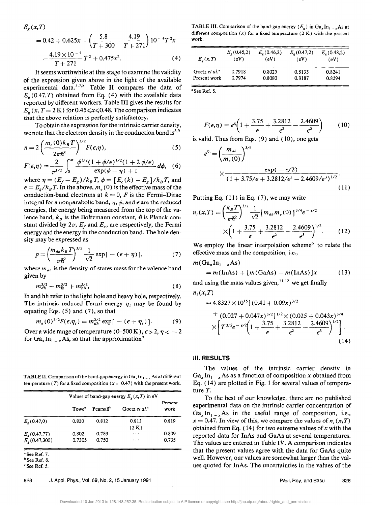$$
E_g(x,T)
$$
  
= 0.42 + 0.625x -  $\left(\frac{5.8}{T + 300} - \frac{4.19}{T + 271}\right) 10^{-4} T^2 x$   
-  $\frac{4.19 \times 10^{-4}}{T + 271} T^2 + 0.475x^2$ . (4)

It seems worthwhile at this stage to examine the validity of the expression given above in the light of the available experimental data. $5,7,8$  Table II compares the data of  $E_{\sigma}(0.47,T)$  obtained from Eq. (4) with the available data reported by different workers. Table III gives the results for  $E<sub>g</sub>(x, T = 2 \text{ K})$  for 0.45  $\le x \le 0.48$ . The comparison indicates that the above relation is perfectly satisfactory.

To obtain the expression for the intrinsic carrier density, we note that the electron density in the conduction band is<sup>3,9</sup>

$$
n = 2\left(\frac{m_e(0)k_B T}{2\pi\hbar^2}\right)^{3/2} F(\epsilon, \eta), \tag{5}
$$

$$
F(\epsilon,\eta)=\frac{2}{\pi^{1/2}}\int_0^\infty \frac{\phi^{1/2}(1+\phi/\epsilon)^{1/2}(1+2\,\phi/\epsilon)}{\exp(\phi-\eta)+1}d\phi,\quad (6)
$$

where  $\eta = (E_f - E_g)/k_B T$ ,  $\phi = [E_c(k) - E_g]/k_B T$ , and  $\epsilon = E_{\rm g}/k_B T$ . In the above,  $m_e(0)$  is the effective mass of the conduction-band electrons at  $k = 0$ , F is the Fermi-Dirac integral for a nonparabolic band,  $\eta$ ,  $\phi$ , and  $\epsilon$  are the reduced energies, the energy being measured from the top of the valence band,  $k<sub>B</sub>$  is the Boltzmann constant,  $\hbar$  is Planck constant divided by  $2\pi$ ,  $E_f$  and  $E_c$ , are respectively, the Fermi energy and the energy in the conduction band. The hole density may be expressed as

$$
p = \left(\frac{m_{dh}k_B T}{\pi\hbar^2}\right)^{3/2} \frac{1}{\sqrt{2}} \exp\left[-(\epsilon + \eta)\right],\tag{7}
$$

where  $m_{dh}$  is the density-of-states mass for the valence band given by

$$
m_{dh}^{3/2} = m_{lh}^{3/2} + m_{hh}^{3/2},
$$
 (8)

lh and hh refer to the light hole and heavy hole, respectively. The intrinsic reduced Fermi energy  $\eta_i$  may be found by equating Eqs.  $(5)$  and  $(7)$ , so that

$$
m_e(0)^{3/2}F(\epsilon,\eta_i)=m_{dh}^{3/2}\exp\big[-(\epsilon+\eta_i)\big].\qquad(9)
$$

Over a wide range of temperature (0–500 K),  $\epsilon > 2, \eta < -2$ for  $Ga_x In_{1-x}As$ , so that the approximation<sup>9</sup>

TABLE II. Comparison of the band-gap energy in  $Ga_x In_{1-x} As$  at different temperature (T) for a fixed composition ( $x = 0.47$ ) with the present work.

|                       | Values of band-gap energy $E_{\nu}(x,T)$ in eV |                       |                        |                 |
|-----------------------|------------------------------------------------|-----------------------|------------------------|-----------------|
|                       | Towe <sup>*</sup>                              | Pearsall <sup>b</sup> | Goetz et al. $\degree$ | Present<br>work |
| $E_{\rm g}$ (0.47,0)  | 0.820                                          | 0.812                 | 0.813                  | 0.819           |
|                       |                                                |                       | (2 K)                  |                 |
| $E_{\rm g}$ (0.47,77) | 0.802                                          | 0.789                 | $\cdots$               | 0.809           |
| $E_{g}(0.47,300)$     | 0.7305                                         | 0.750                 | $\cdots$               | 0.735           |

<sup>a</sup> See Ref. 7.

'See Ref. 8.

c See Ref. 5.

TABLE III. Comparison of the band-gap energy  $(E_{\nu})$  in  $Ga_{\nu}In_{1-\nu}$  As at different composition  $(x)$  for a fixed temperature  $(2 K)$  with the present work.

| $E_{\nu}(x,T)$            | $E_e(0.45,2)$<br>(eV) | $E_{\rm g}(0.46,2)$<br>(eV) | $E_{\bullet}(0.47,2)$<br>(eV) | $E_{e}$ (0.48,2)<br>(eV) |
|---------------------------|-----------------------|-----------------------------|-------------------------------|--------------------------|
| Goetz et al. <sup>a</sup> | 0.7918                | 0.8025                      | 0.8133                        | 0.8241                   |
| Present work              | 0.7974                | 0.8080                      | 0.8187                        | 0.8294                   |

'See Ref. 5.

$$
F(\epsilon, \eta) = e^{\eta} \left( 1 + \frac{3.75}{\epsilon} + \frac{3.2812}{\epsilon^2} - \frac{2.4609}{\epsilon^3} \right) \tag{10}
$$

is valid. Thus from Eqs.  $(9)$  and  $(10)$ , one gets

$$
e^{n_i} = \left(\frac{m_{dh}}{m_e(0)}\right)^{3/4}
$$
  
 
$$
\times \frac{\exp(-\epsilon/2)}{(1+3.75/\epsilon+3.2812/\epsilon^2-2.4609/\epsilon^3)^{1/2}}.
$$
 (11)

Putting Eq. ( 11) in Eq. (7), we may write

$$
n_i(x,T) = \left(\frac{k_B T}{\pi \hbar^2}\right)^{3/2} \frac{1}{\sqrt{2}} \left[m_{dh} m_e(0)\right]^{3/4} e^{-\epsilon/2}
$$

$$
\times \left(1 + \frac{3.75}{\epsilon} + \frac{3.2812}{\epsilon^2} - \frac{2.4609}{\epsilon^3}\right)^{1/2}.
$$
 (12)

We employ the linear interpolation scheme<sup>6</sup> to relate the effective mass and the composition, i.e.,

$$
m(Ga_xIn_{1-x}As)
$$
  
=  $m(InAs) + [m(GaAs) - m(InAs)]x$  (13)

and using the mass values given,  $\frac{11,12}{1}$  we get finally  $n_i(x,T)$ 

$$
=4.8327\times10^{15}[(0.41+0.09x)^{3/2}+(0.027+0.047x)^{3/2}]^{1/2}\times(0.025+0.043x)^{3/4}\times[T^{3/2}e^{-\epsilon/2}(1+\frac{3.75}{\epsilon}+\frac{3.2812}{\epsilon^2}-\frac{2.4609}{\epsilon^3})^{1/2}].
$$
\n(14)

#### III. RESULTS

The values of the intrinsic carrier density in  $Ga_x In_{1-x} As$  as a function of composition x obtained from Eq. ( 14) are plotted in Fig. 1 for several values of temperature T.

To the best of our knowledge, there are no published experimental data on the intrinsic carrier concentration of  $Ga_xIn_{1-x}As$  in the useful range of composition, i.e.,  $x = 0.47$ . In view of this, we compare the values of n<sub>i</sub>  $(x, T)$ obtained from Eq. (14) for two extreme values of x with the reported data for InAs and GaAs at several temperatures. The values are entered in Table IV. A comparison indicates that the present values agree with the data for GaAs quite well. However, our values are somewhat larger than the values quoted for InAs. The uncertainties in the values of the

828 J. Appl. Phys., Vol. 69, No. 2, 15 January 1991 **Paul, Roy, and Basu** 828